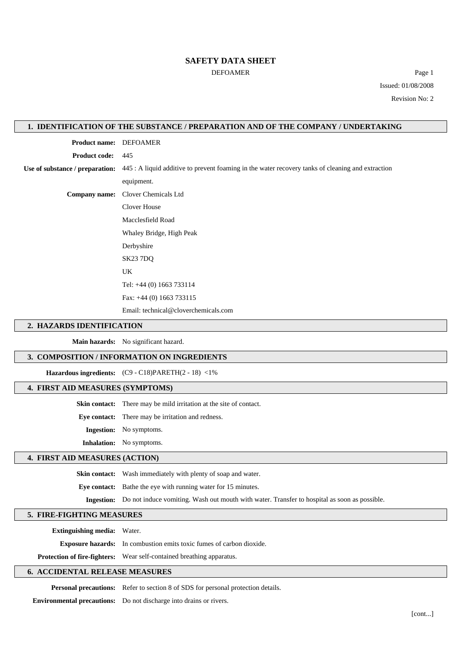## **SAFETY DATA SHEET**

DEFOAMER Page 1 Issued: 01/08/2008 Revision No: 2

## **1. IDENTIFICATION OF THE SUBSTANCE / PREPARATION AND OF THE COMPANY / UNDERTAKING**

**Product name:** DEFOAMER **Product code:** 445 **Use of substance / preparation:** 445 : A liquid additive to prevent foaming in the water recovery tanks of cleaning and extraction equipment. **Company name:** Clover Chemicals Ltd Clover House Macclesfield Road Whaley Bridge, High Peak Derbyshire SK23 7DQ UK Tel: +44 (0) 1663 733114 Fax: +44 (0) 1663 733115 Email: technical@cloverchemicals.com

#### **2. HAZARDS IDENTIFICATION**

**Main hazards:** No significant hazard.

# **3. COMPOSITION / INFORMATION ON INGREDIENTS**

**Hazardous ingredients:** (C9 - C18)PARETH(2 - 18) <1%

## **4. FIRST AID MEASURES (SYMPTOMS)**

**Skin contact:** There may be mild irritation at the site of contact.

**Eye contact:** There may be irritation and redness.

**Ingestion:** No symptoms.

**Inhalation:** No symptoms.

# **4. FIRST AID MEASURES (ACTION)**

**Skin contact:** Wash immediately with plenty of soap and water.

**Eye contact:** Bathe the eye with running water for 15 minutes.

**Ingestion:** Do not induce vomiting. Wash out mouth with water. Transfer to hospital as soon as possible.

#### **5. FIRE-FIGHTING MEASURES**

**Extinguishing media:** Water.

**Exposure hazards:** In combustion emits toxic fumes of carbon dioxide.

**Protection of fire-fighters:** Wear self-contained breathing apparatus.

# **6. ACCIDENTAL RELEASE MEASURES**

**Personal precautions:** Refer to section 8 of SDS for personal protection details.

**Environmental precautions:** Do not discharge into drains or rivers.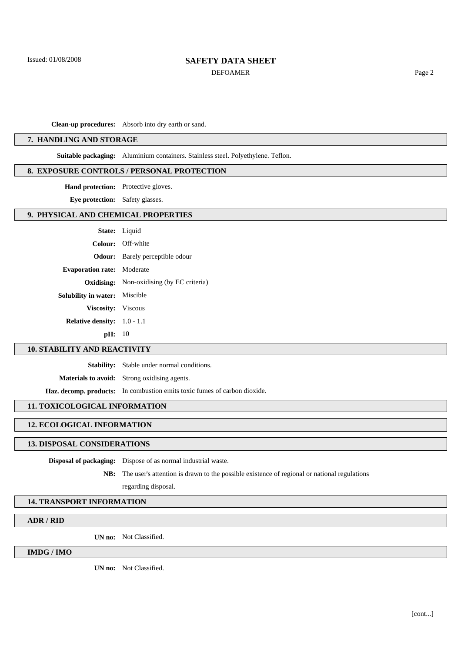# **SAFETY DATA SHEET**

DEFOAMER Page 2

**Clean-up procedures:** Absorb into dry earth or sand.

# **7. HANDLING AND STORAGE**

**Suitable packaging:** Aluminium containers. Stainless steel. Polyethylene. Teflon.

#### **8. EXPOSURE CONTROLS / PERSONAL PROTECTION**

**Hand protection:** Protective gloves.

**Eye protection:** Safety glasses.

# **9. PHYSICAL AND CHEMICAL PROPERTIES**

|                                      | <b>State:</b> Liquid                             |
|--------------------------------------|--------------------------------------------------|
|                                      | Colour: Off-white                                |
|                                      | <b>Odour:</b> Barely perceptible odour           |
| <b>Evaporation rate:</b> Moderate    |                                                  |
|                                      | <b>Oxidising:</b> Non-oxidising (by EC criteria) |
| <b>Solubility in water:</b> Miscible |                                                  |
| Viscosity: Viscous                   |                                                  |
| <b>Relative density:</b> $1.0 - 1.1$ |                                                  |
| $\mathbf{pH:} \quad 10$              |                                                  |
|                                      |                                                  |

## **10. STABILITY AND REACTIVITY**

**Stability:** Stable under normal conditions.

**Materials to avoid:** Strong oxidising agents.

**Haz. decomp. products:** In combustion emits toxic fumes of carbon dioxide.

# **11. TOXICOLOGICAL INFORMATION**

# **12. ECOLOGICAL INFORMATION**

# **13. DISPOSAL CONSIDERATIONS**

**Disposal of packaging:** Dispose of as normal industrial waste.

**NB:** The user's attention is drawn to the possible existence of regional or national regulations

regarding disposal.

#### **14. TRANSPORT INFORMATION**

# **ADR / RID**

**UN no:** Not Classified.

# **IMDG / IMO**

**UN no:** Not Classified.